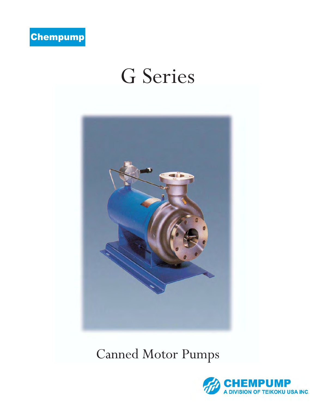

# G Series



# Canned Motor Pumps

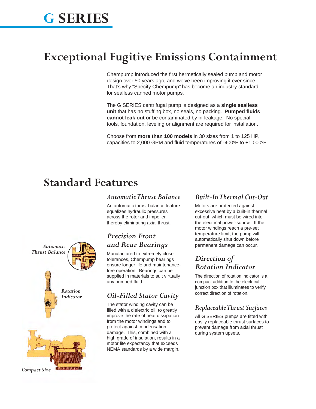## **G SERIES**

### **Exceptional Fugitive Emissions Containment**

Chempump introduced the first hermetically sealed pump and motor design over 50 years ago, and we've been improving it ever since. That's why "Specify Chempump" has become an industry standard for sealless canned motor pumps.

The G SERIES centrifugal pump is designed as a **single sealless unit** that has no stuffing box, no seals, no packing. **Pumped fluids cannot leak out** or be contaminated by in-leakage. No special tools, foundation, leveling or alignment are required for installation.

Choose from **more than 100 models** in 30 sizes from 1 to 125 HP, capacities to 2,000 GPM and fluid temperatures of -400ºF to +1,000ºF.

### **Standard Features**

#### *Automatic Thrust Balance*

An automatic thrust balance feature equalizes hydraulic pressures across the rotor and impeller, thereby eliminating axial thrust.

### *Precision Front and Rear Bearings*

Manufactured to extremely close tolerances, Chempump bearings ensure longer life and maintenancefree operation. Bearings can be supplied in materials to suit virtually any pumped fluid.

### *Oil-Filled Stator Cavity*

The stator winding cavity can be filled with a dielectric oil, to greatly improve the rate of heat dissipation from the motor windings and to protect against condensation damage. This, combined with a high grade of insulation, results in a motor life expectancy that exceeds NEMA standards by a wide margin.

### *Built-In Thermal Cut-Out*

Motors are protected against excessive heat by a built-in thermal cut-out, which must be wired into the electrical power-source. If the motor windings reach a pre-set temperature limit, the pump will automatically shut down before permanent damage can occur.

### *Direction of Rotation Indicator*

The direction of rotation indicator is a compact addition to the electrical junction box that illuminates to verify correct direction of rotation.

### *Replaceable Thrust Surfaces*

All G SERIES pumps are fitted with easily replaceable thrust surfaces to prevent damage from axial thrust during system upsets.

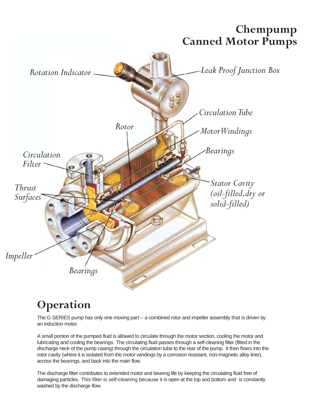

### **Operation**

The G SERIES pump has only one moving part – a combined rotor and impeller assembly that is driven by an induction motor.

A small portion of the pumped fluid is allowed to circulate through the motor section, cooling the motor and lubricating and cooling the bearings. The circulating fluid passes through a self-cleaning filter (fitted in the discharge neck of the pump casing) through the circulation tube to the rear of the pump. It then flows into the rotor cavity (where it is isolated from the motor windings by a corrosion resistant, non-magnetic alloy liner), across the bearings, and back into the main flow.

The discharge filter contributes to extended motor and bearing life by keeping the circulating fluid free of damaging particles. This filter is self-cleaning because it is open at the top and bottom and is constantly washed by the discharge flow.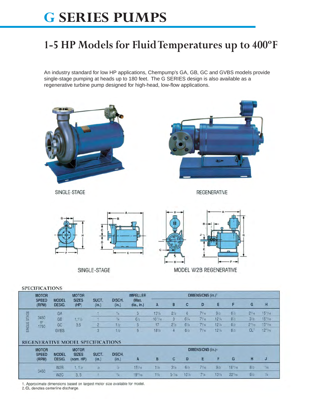# **G SERIES PUMPS**

### **1-5 HP Models for Fluid Temperatures up to 400ºF**

An industry standard for low HP applications, Chempump's GA, GB, GC and GVBS models provide single-stage pumping at heads up to 180 feet. The G SERIES design is also available as a regenerative turbine pump designed for high-head, low-flow applications.



 $19^{13}/16$ 

 $1\frac{3}{8}$ 

 $7\frac{1}{4}$ 

 $13\frac{1}{8}$ 

 $22^{7}/16$ 

 $10^{7}/8$ 

 $5 - 7/16$ 

 $\eta_4$ 

 $8/2$ 

1. Approximate dimensions based on largest motor size available for model.

 $\mathbf{1}$ 

 $\frac{1}{7}I_4$ 

 $3, 5$ 

2. CL denotes centerline discharge.

W<sub>2</sub>C

SINGLE STAGE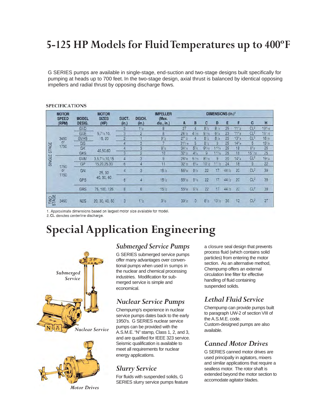### **5-125 HP Models for Fluid Temperatures up to 400ºF**

G SERIES pumps are available in single-stage, end-suction and two-stage designs built specifically for pumping at heads up to 700 feet. In the two-stage design, axial thrust is balanced by identical opposing impellers and radial thrust by opposing discharge flows.

|        | <b>MOTOR</b>          |                               | <b>MOTOR</b>                     |                |                 | <b>IMPELLER</b>      | DIMENSIONS (in.) <sup>1</sup> |                |                  |                   |            |            |                 |                    |
|--------|-----------------------|-------------------------------|----------------------------------|----------------|-----------------|----------------------|-------------------------------|----------------|------------------|-------------------|------------|------------|-----------------|--------------------|
|        | <b>SPEED</b><br>(RPM) | <b>MODEL</b><br><b>DESIG.</b> | <b>SIZES</b><br>(HP)             | SUCT.<br>(in.) | DISCH.<br>(in.) | (Max.<br>$dia.$ in.) | A                             | B              | C                | D                 | Ε          | F          | G               | H                  |
|        |                       | <b>GVD</b>                    | $5.7\frac{1}{2}$ , 10,<br>15, 20 | 3              | 11/2            | 8                    | 27                            | 4              | $8^{1/2}$        | $8^{1/4}$         | 25         | $11^{1/2}$ | CL <sup>2</sup> | $18^{9}/16$        |
|        |                       | <b>GVE</b>                    |                                  | 3              | $\overline{2}$  | 8                    | $26'$ / <sub>2</sub>          | $4^{1/16}$     | 9'/16            | $6^{3}/4$         | 23         | $11^{5}/8$ | CL <sup>2</sup> | $16^{1/16}$        |
|        | 3450                  | <b>GVHS</b>                   |                                  | 2              |                 | $9^{1/2}$            | 2712                          |                | $8^{1/2}$        | 8'/4              | 25         | $13^{3}/4$ | CL <sup>2</sup> | 18 <sup>7</sup> /s |
|        | or                    | GG                            |                                  | 4              | 3               | 7                    | $31^{3}/16$                   | 5.             | $8^{1/2}$        | 9                 | 25         | $14^{3}/4$ | 5               | $19'$ / $B$        |
| STAGE  | 1750                  | GK                            | 40,50,60                         | 4              | 3               | $8^{7}/s$            | 34''/4                        | $5^{7}/8$      | $9^{9}/16$       | $11^{3}/4$        | 25         | 18         | $6\frac{5}{8}$  | 25                 |
|        |                       | <b>GKS</b>                    |                                  | 3              | $\overline{2}$  | 10                   | $32^{1/2}$                    | $4^{3}/4$      | 9                | $11^{3}/4$        | 25         | 18         | $15^{17}/32$    | 25                 |
| SINGLE |                       | <b>GVM</b>                    | $3.5,7\frac{1}{2}$ , 10, 15      | 4              | 3               | 9                    | $26^{3}/s$                    | 5/16           | $8^{3}/16$       | 9                 | 20         | $14^{3}/4$ | CL <sup>2</sup> | $19^{3}/4$         |
|        | 1750<br>or<br>1150    | GP                            | 15,20,25.30                      | 6              | 4               | 11                   | $32'$ <sub>2</sub>            | $6^{3}/4$      | 10 <sub>12</sub> | 11 <sub>1/2</sub> | 24         | 18         | 9               | 22                 |
|        |                       | <b>GN</b>                     | 25, 30                           | 4              | 3               | 15 <sub>2</sub>      | $55^{3}/8$                    | $9'$ / $8$     | 22               | 17                | 441/2      | 20         | CL <sup>2</sup> | 39                 |
|        |                       | GPS                           | 40, 50, 60                       | 6              | 4               | 15 <sup>1</sup> /2   | $55^{\circ}/8$                | 9'/8           | 22               | 17                | 441/2      | 20         | CL <sup>2</sup> | 39                 |
|        |                       | <b>GRS</b>                    | 75, 100, 125                     | 8              | $6\phantom{a}$  | $15'$ /2             | $55^{3}/8$                    | $9^{t}/s$      | 22               | 17                | $44^{1}/2$ | 20         | CL <sup>2</sup> | 39                 |
| STAGE  | 3450                  | <b>N2S</b>                    | 20, 30, 40, 50                   | 3              | 11/2            | 9 <sup>1</sup> /8    | 39 <sub>2</sub>               | $\overline{0}$ | 81/2             | 13/2              | 30         | 12         | CL <sup>2</sup> | 27                 |

#### **SPECIFICATIONS**

1. Approximate dimensions based on largest motor size available for model.

2. CL denotes centerline discharge.

### **Special Application Engineering**





*Motor Drives*

### *Submerged Service Pumps*

G SERIES submerged service pumps offer many advantages over conventional pumps when used in sumps in the nuclear and chemical processing industries. Modification for submerged service is simple and economical.

### *Nuclear Service Pumps*

Chempump's experience in nuclear service pumps dates back to the early 1950's. G SERIES nuclear service pumps can be provided with the A.S.M.E. "N" stamp, Class 1, 2, and 3, and are qualified for IEEE 323 service. Seismic qualification is available to meet all requirements for nuclear energy applications.

### *Slurry Service*

For fluids with suspended solids, G SERIES slurry service pumps feature a closure seal design that prevents process fluid (which contains solid particles) from entering the motor section. As an alternative method, Chempump offers an external circulation line filter for effective handling of fluid containing suspended solids.

### *Lethal Fluid Service*

Chempump can provide pumps built to paragraph UW-2 of section VIII of the A.S.M.E. code. Custom-designed pumps are also available.

### *Canned Motor Drives*

G SERIES canned motor drives are used principally in agitators, mixers and similar applications that require a sealless motor. The rotor shaft is extended beyond the motor section to accomodate agitator blades.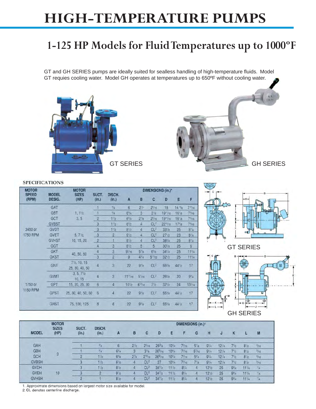# **HIGH-TEMPERATURE PUMPS**

### **1-125 HP Models for Fluid Temperatures up to 1000ºF**

GT and GH SERIES pumps are ideally suited for sealless handling of high-temperature fluids. Model GT requies cooling water. Model GH operates at temperatures up to 650ºF without cooling water.





#### **SPECIFICATIONS**

| <b>MOTOR</b>          |                        | <b>MOTOR</b>                              |                  |                 |                | DIMENSIONS (in.)* |                   |                      |                    |                  |  |  |
|-----------------------|------------------------|-------------------------------------------|------------------|-----------------|----------------|-------------------|-------------------|----------------------|--------------------|------------------|--|--|
| <b>SPEED</b><br>(RPM) | <b>MODEL</b><br>DESIG. | <b>SIZES</b><br>(HP)                      | SUCT.<br>(in.)   | DISCH.<br>(in.) | $\mathsf{A}$   | B                 | C                 | D                    | Ε                  | F                |  |  |
|                       | GAT                    |                                           |                  | $^{3}/_{4}$     | 6              | 2 <sup>†</sup>    | $2^{5}/16$        | 18                   | 14 <sup>5</sup> /8 | $7^{13}/16$      |  |  |
|                       | <b>GBT</b>             | $1, 1\frac{1}{2}$<br>3, 5                 |                  | $^{3}/_{4}$     | $6^{3}/4$      | $\overline{3}$    | $3'$ / $8$        | 19''/16              | $16'$ / $s$        | $7^{3}/16$       |  |  |
|                       | GCT                    |                                           | $\overline{c}$   | 11/2            | $6^{3}/8$      | $2^{7}/8$         | $2^{5}/16$        | 19 <sup>13</sup> /16 | 16'/8              | $7^{3}/16$       |  |  |
|                       | <b>GVBST</b>           |                                           | 3                | 11/2            | $6^{3}/2$      | $\overline{4}$    | CL <sup>2</sup>   | $22^{13}/16$         | $17^{3}/8$         | $7^{3}/16$       |  |  |
| 3450 or               | <b>GVDT</b>            |                                           | 3                | 11/2            | $8^{1/2}$      | $\overline{4}$    | CL <sup>2</sup>   | 33 <sub>18</sub>     | 25                 | $8^{1/4}$        |  |  |
| 1750 RPM              | <b>GVET</b>            | 5, 7 <sup>1</sup> /2,                     | 3                | $\overline{2}$  | 9 <sub>2</sub> | 4                 | CL <sup>2</sup>   | 27 <sub>12</sub>     | 23                 | $8^{1/4}$        |  |  |
|                       | <b>GVHST</b>           | 10, 15, 20                                | $\overline{2}$   | 1               | $8^{1/2}$      | $\overline{4}$    | CL <sup>2</sup>   | $38^{3}/4$           | 25                 | $8^{1/4}$        |  |  |
|                       | GGT                    |                                           | $\overline{4}$   | $\overline{3}$  | 8!/2           | 5                 | 5                 | 30 <sup>7</sup> /B   | 25                 | 9                |  |  |
|                       | <b>GKT</b>             |                                           | 4                | $\overline{3}$  | $9''_{16}$     | 5 <sup>7</sup> /8 | 6 <sup>5</sup> /8 | 34''/4               | 25                 | $11^{3}/4$       |  |  |
|                       | <b>GKST</b>            | 40, 50, 60                                | $\overline{3}$   | $\overline{2}$  | 9              | $4^{3}/4$         | $5^{17}/32$       | $32^{1/2}$           | 25                 | $11^{3}/4$       |  |  |
|                       | <b>GNT</b>             | $7\frac{1}{2}$ , 10, 15<br>25, 30, 40, 50 | 4                | $\mathbf{3}$    | 22             | 9'/a              | Cl <sup>2</sup>   | $55\%$               | 44 <sup>1</sup> /2 | 17               |  |  |
|                       | <b>GVMT</b>            | $3, 5, 7\frac{1}{2}$<br>10.15             | 4                | $\overline{3}$  | $11^{11}/16$   | 5'/16             | CL <sup>2</sup>   | $26^{3}/8$           | 20                 | $9^{3}/4$        |  |  |
| 1750 or               | <b>GPT</b>             | 15, 20, 25, 30                            | 6                | $\overline{4}$  | $10^{1/2}$     | $6^{13/16}$       | $7\frac{1}{2}$    | $32^{1}/2$           | 24                 | $13\frac{1}{16}$ |  |  |
| 1150 RPM              | <b>GPST</b>            | 25, 30, 40, 50, 60                        | 6                | $\overline{4}$  | 22             | $9\%$             | Cl <sup>2</sup>   | $55\%$               | $44^{1/2}$         | 17               |  |  |
|                       | <b>GRST</b>            | 75, 100, 125                              | $\boldsymbol{8}$ | $6\overline{6}$ | 22             | 9' / 8            | CL <sup>2</sup>   | $55\%$               | $44^{1}/2$         | 17               |  |  |



GH SERIES

| <b>MODEL</b><br>GAH<br><b>GBH</b><br>GCH         | <b>MOTOR</b>         |                   |                 | <b>DIMENSIONS (in.)1</b> |                 |                 |             |                  |            |                |            |            |                  |            |           |
|--------------------------------------------------|----------------------|-------------------|-----------------|--------------------------|-----------------|-----------------|-------------|------------------|------------|----------------|------------|------------|------------------|------------|-----------|
|                                                  | <b>SIZES</b><br>(HP) | SUCT.<br>(in.)    | DISCH.<br>(in.) | A                        | B               | C               | D           | Е                | F          | G              | н          | υ          | K                |            | M         |
|                                                  |                      |                   | $^{3}/_{4}$     | 6                        | $2^{1/2}$       | $2^{5}/16$      | $26^{3}/a$  | $10^{3}/4$       | $7^{3}/16$ | $5\frac{1}{8}$ | $9^{1}/4$  | 12''/4     | 7 <sub>1/2</sub> | $8^{1/2}$  | $^{3}/16$ |
|                                                  | 3                    |                   | $^{3}/_{4}$     | $6^{3}/4$                | $\mathbf{3}$    | $3^{7}/8$       | $26^{5}/16$ | $10^{3}/4$       | $7^{3}/16$ | $5^{7}/16$     | $9^{1}/4$  | $12^{1/4}$ | $7\frac{1}{2}$   | $8^{1/2}$  | $^{3}/16$ |
|                                                  |                      |                   | 11/2            | $6^{3}/8$                | $2^7$ / $8$     | $2^{15}/16$     | $26^{9}/16$ | $10^{3}/4$       | $7^{3}/16$ | $5^{3}/4$      | 9'/4       | $12^{1/4}$ | 71/2             | $8^{1}/2$  | $^{3}/16$ |
| <b>GVBSH</b>                                     |                      | υ                 | 11/2            | $6^{1/2}$                | 4               | CL <sup>2</sup> | 27          | $10^{3}/4$       | $7^{3}/16$ | $7^{1}/8$      | $9^{1}/4$  | $12^{1/4}$ | 71/2             | $8^{1/2}$  | $^{3}/16$ |
| <b>GVDH</b><br>10<br><b>GVEH</b><br><b>GVHSH</b> | 3                    | 1 <sup>1</sup> /2 | $8^{1}/2$       | 4                        | CL <sup>2</sup> | $34^{1}/2$      | $11^{1/2}$  | $8^{1/4}$        | 4          | $12^{1/2}$     | 25         | $9^{3}/4$  | $11^{1/4}$       | $^{1}/4$   |           |
|                                                  |                      |                   |                 | $9^{1/2}$                | 4               | CL <sup>2</sup> | $34^{1}/2$  | 11 <sub>12</sub> | $8^{1/4}$  | 4              | $12^{1/2}$ | 25         | $9^{3}/4$        | $11^{3}/4$ | 1/4       |
|                                                  |                      | $\overline{2}$    |                 | $8'$ /2                  |                 | CL <sup>2</sup> | $34^{1}/2$  | $11^{1/2}$       | $8^{1/4}$  | 4              | $12^{1/2}$ | 25         | $9^{3}/4$        | 11' / 4    | $^{1/4}$  |

1. Approximate dimensions based on largest motor size available for model.

2. CL denotes centerline discharge.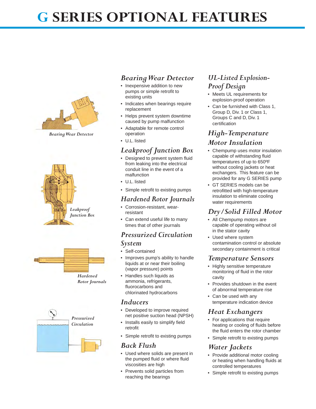# **G SERIES OPTIONAL FEATURES**



*Bearing Wear Detector*







#### *Bearing Wear Detector*

- Inexpensive addition to new pumps or simple retrofit to existing units
- Indicates when bearings require replacement
- Helps prevent system downtime caused by pump malfunction
- Adaptable for remote control operation
- U.L. listed

### *Leakproof Junction Box*

- Designed to prevent system fluid from leaking into the electrical conduit line in the event of a malfunction
- U.L. listed
- Simple retrofit to existing pumps

#### *Hardened Rotor Journals*

- Corrosion-resistant, wearresistant
- Can extend useful life to many times that of other journals

### *Pressurized Circulation*

#### *System*

- Self-contained
- Improves pump's ability to handle liquids at or near their boiling (vapor pressure) points
- Handles such liquids as ammonia, refrigerants, fluorocarbons and chlorinated hydrocarbons

#### *Inducers*

- Developed to improve required net positive suction head (NPSH)
- Installs easily to simplify field retrofit
- Simple retrofit to existing pumps

#### *Back Flush*

- Used where solids are present in the pumped fluid or where fluid viscosities are high
- Prevents solid particles from reaching the bearings

### *UL-Listed Explosion-Proof Design*

- Meets UL requirements for explosion-proof operation
- Can be furnished with Class 1, Group D, Div. 1 or Class 1, Groups C and D, Div. 1 certification

### *High-Temperature Motor Insulation*

- Chempump uses motor insulation capable of withstanding fluid temperatures of up to 650ºF without cooling jackets or heat exchangers. This feature can be provided for any G SERIES pump
- GT SERIES models can be retrofitted with high-temperature insulation to eliminate cooling water requirements

### *Dry/Solid Filled Motor*

- All Chempump motors are capable of operating without oil in the stator cavity
- Used where system contamination control or absolute secondary containment is critical

#### *Temperature Sensors*

- Highly sensitive temperature monitoring of fluid in the rotor cavity
- Provides shutdown in the event of abnormal temperature rise
- Can be used with any temperature indication device

### *Heat Exchangers*

- For applications that require heating or cooling of fluids before the fluid enters the rotor chamber
- Simple retrofit to existing pumps

### *Water Jackets*

- Provide additional motor cooling or heating when handling fluids at controlled temperatures
- Simple retrofit to existing pumps